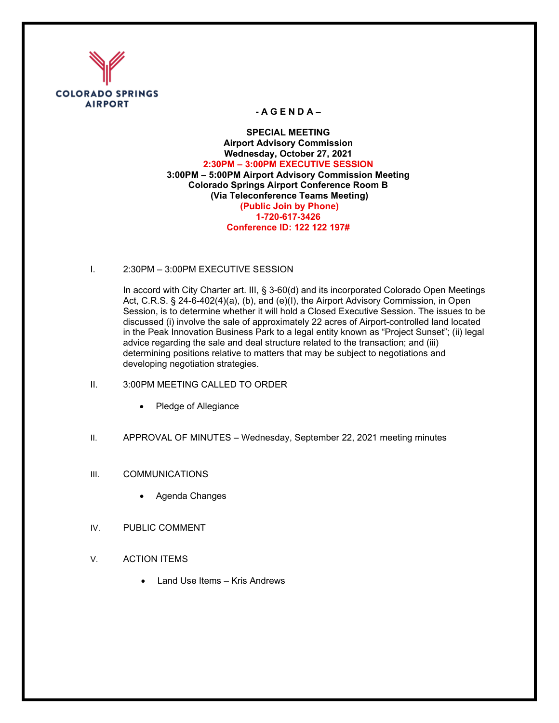

## **- A G E N D A –**

**SPECIAL MEETING Airport Advisory Commission Wednesday, October 27, 2021 2:30PM – 3:00PM EXECUTIVE SESSION 3:00PM – 5:00PM Airport Advisory Commission Meeting Colorado Springs Airport Conference Room B (Via Teleconference Teams Meeting) (Public Join by Phone) 1-720-617-3426 Conference ID: 122 122 197#** 

I. 2:30PM – 3:00PM EXECUTIVE SESSION

In accord with City Charter art. III, § 3-60(d) and its incorporated Colorado Open Meetings Act, C.R.S. § 24-6-402(4)(a), (b), and (e)(I), the Airport Advisory Commission, in Open Session, is to determine whether it will hold a Closed Executive Session. The issues to be discussed (i) involve the sale of approximately 22 acres of Airport-controlled land located in the Peak Innovation Business Park to a legal entity known as "Project Sunset"; (ii) legal advice regarding the sale and deal structure related to the transaction; and (iii) determining positions relative to matters that may be subject to negotiations and developing negotiation strategies.

- II. 3:00PM MEETING CALLED TO ORDER
	- Pledge of Allegiance
- II. APPROVAL OF MINUTES Wednesday, September 22, 2021 meeting minutes
- III. COMMUNICATIONS
	- Agenda Changes
- IV. PUBLIC COMMENT
- V. ACTION ITEMS
	- Land Use Items Kris Andrews